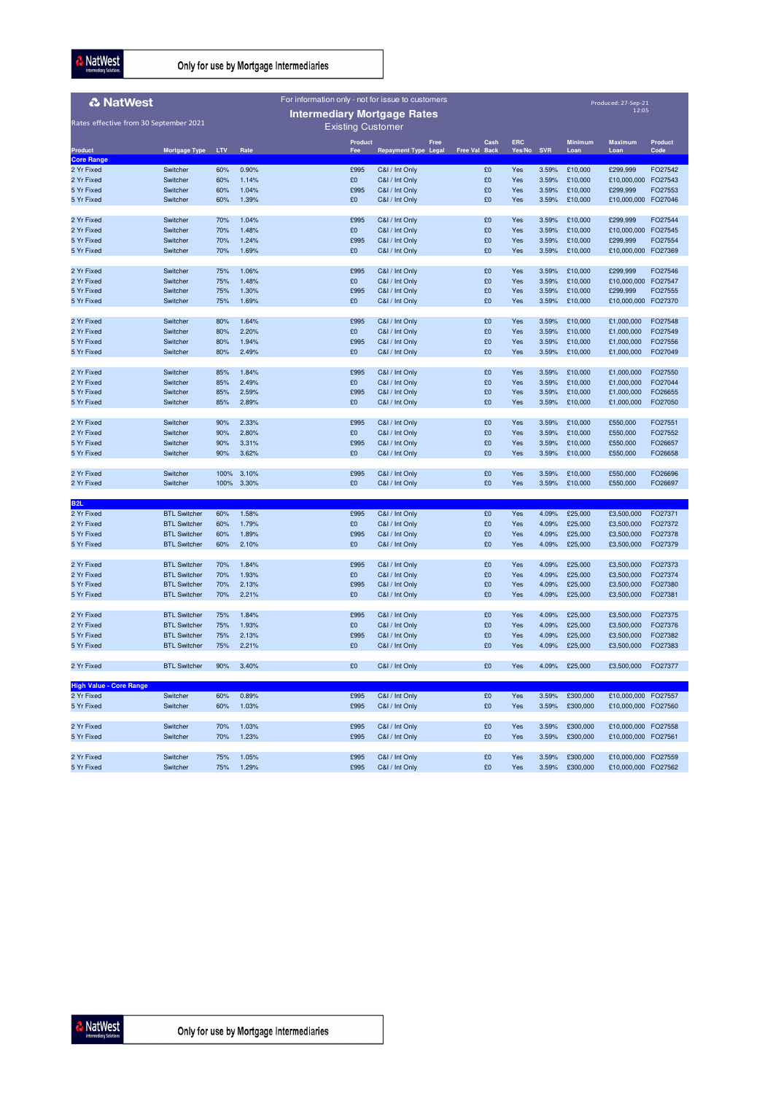NatWest

Only for use by Mortgage Intermediaries

| For information only - not for issue to customers<br><b>&amp; NatWest</b> |                        |      |       |                          |                             |      |               |        |            |                |                     |                |
|---------------------------------------------------------------------------|------------------------|------|-------|--------------------------|-----------------------------|------|---------------|--------|------------|----------------|---------------------|----------------|
| Produced: 27-Sep-21<br>Intermediary Mortgage Rates                        |                        |      |       |                          |                             |      |               |        |            |                |                     |                |
| Rates effective from 30 September 2021                                    |                        |      |       | <b>Existing Customer</b> |                             |      |               |        |            |                |                     |                |
|                                                                           |                        |      |       | Product                  |                             | Free | Cash          | ERC    |            | <b>Minimum</b> | <b>Maximum</b>      | <b>Product</b> |
| Product                                                                   | Mortgage Type LTV Rate |      |       | Fee                      | <b>Repayment Type Legal</b> |      | Free Val Back | Yes/No | <b>SVR</b> | Loan           | Loan                | Code           |
| <b>Core Range</b><br>2 Yr Fixed                                           | Switcher               | 60%  | 0.90% | £995                     | C&I / Int Only              |      | £0            | Yes    | 3.59%      | £10,000        | £299,999            | FO27542        |
| 2 Yr Fixed                                                                | Switcher               | 60%  | 1.14% | £0                       | C&I / Int Only              |      | £0            | Yes    | 3.59%      | £10,000        | £10,000,000         | FO27543        |
| 5 Yr Fixed                                                                | Switcher               | 60%  | 1.04% | £995                     | C&I / Int Only              |      | £0            | Yes    | 3.59%      | £10,000        | £299,999            | FO27553        |
| 5 Yr Fixed                                                                | Switcher               | 60%  | 1.39% | £0                       | C&I / Int Only              |      | £0            | Yes    | 3.59%      | £10,000        | £10,000,000         | FO27046        |
| 2 Yr Fixed                                                                | Switcher               | 70%  | 1.04% | £995                     | C&I / Int Only              |      | £0            | Yes    | 3.59%      | £10,000        | £299,999            | FO27544        |
| 2 Yr Fixed                                                                | Switcher               | 70%  | 1.48% | £0                       | C&I / Int Only              |      | £0            | Yes    | 3.59%      | £10,000        | £10,000,000         | FO27545        |
| 5 Yr Fixed                                                                | Switcher               | 70%  | 1.24% | £995                     | C&I / Int Only              |      | £0            | Yes    | 3.59%      | £10,000        | £299,999            | FO27554        |
| 5 Yr Fixed                                                                | Switcher               | 70%  | 1.69% | £0                       | C&I / Int Only              |      | £0            | Yes    | 3.59%      | £10,000        | £10,000,000 FO27369 |                |
| 2 Yr Fixed                                                                | Switcher               | 75%  | 1.06% | £995                     | C&I / Int Only              |      | £0            | Yes    | 3.59%      | £10,000        | £299,999            | FO27546        |
| 2 Yr Fixed                                                                | Switcher               | 75%  | 1.48% | £0                       | C&I / Int Only              |      | £0            | Yes    | 3.59%      | £10,000        | £10,000,000         | FO27547        |
| 5 Yr Fixed                                                                | Switcher               | 75%  | 1.30% | £995                     | C&I / Int Only              |      | £0            | Yes    | 3.59%      | £10,000        | £299,999            | FO27555        |
| 5 Yr Fixed                                                                | Switcher               | 75%  | 1.69% | £0                       | C&I / Int Only              |      | £0            | Yes    | 3.59%      | £10,000        | £10,000,000         | FO27370        |
| 2 Yr Fixed                                                                | Switcher               | 80%  | 1.64% | £995                     | C&I / Int Only              |      | £0            | Yes    | 3.59%      | £10,000        | £1,000,000          | FO27548        |
| 2 Yr Fixed                                                                | Switcher               | 80%  | 2.20% | £0                       | C&I / Int Only              |      | £0            | Yes    | 3.59%      | £10,000        | £1,000,000          | FO27549        |
| 5 Yr Fixed                                                                | Switcher               | 80%  | 1.94% | £995                     | C&I / Int Only              |      | £0            | Yes    | 3.59%      | £10,000        | £1,000,000          | FO27556        |
| 5 Yr Fixed                                                                | Switcher               | 80%  | 2.49% | £0                       | C&I / Int Only              |      | £0            | Yes    | 3.59%      | £10,000        | £1,000,000          | FO27049        |
| 2 Yr Fixed                                                                | Switcher               | 85%  | 1.84% | £995                     | C&I / Int Only              |      | £0            | Yes    | 3.59%      | £10,000        | £1,000,000          | FO27550        |
| 2 Yr Fixed                                                                | Switcher               | 85%  | 2.49% | £0                       | C&I / Int Only              |      | £0            | Yes    | 3.59%      | £10,000        | £1,000,000          | FO27044        |
| 5 Yr Fixed                                                                | Switcher               | 85%  | 2.59% | £995                     | C&I / Int Only              |      | £0            | Yes    | 3.59%      | £10,000        | £1,000,000          | FO26655        |
| 5 Yr Fixed                                                                | Switcher               | 85%  | 2.89% | £0                       | C&I / Int Only              |      | £0            | Yes    | 3.59%      | £10,000        | £1,000,000          | FO27050        |
| 2 Yr Fixed                                                                | Switcher               | 90%  | 2.33% | £995                     | C&I / Int Only              |      | £0            | Yes    | 3.59%      | £10,000        | £550,000            | FO27551        |
| 2 Yr Fixed                                                                | Switcher               | 90%  | 2.80% | £0                       | C&I / Int Only              |      | £0            | Yes    | 3.59%      | £10,000        | £550,000            | FO27552        |
| 5 Yr Fixed                                                                | Switcher               | 90%  | 3.31% | £995                     | C&I / Int Only              |      | £0            | Yes    | 3.59%      | £10,000        | £550,000            | FO26657        |
| 5 Yr Fixed                                                                | Switcher               | 90%  | 3.62% | £0                       | C&I / Int Only              |      | £0            | Yes    | 3.59%      | £10,000        | £550,000            | FO26658        |
| 2 Yr Fixed                                                                | Switcher               | 100% | 3.10% | £995                     | C&I / Int Only              |      | £0            | Yes    | 3.59%      | £10,000        | £550,000            | FO26696        |
| 2 Yr Fixed                                                                | Switcher               | 100% | 3.30% | £0                       | C&I / Int Only              |      | £0            | Yes    | 3.59%      | £10,000        | £550,000            | FO26697        |
|                                                                           |                        |      |       |                          |                             |      |               |        |            |                |                     |                |
| B <sub>2</sub> L                                                          |                        |      |       |                          |                             |      |               |        |            |                |                     |                |
| 2 Yr Fixed                                                                | <b>BTL Switcher</b>    | 60%  | 1.58% | £995                     | C&I / Int Only              |      | £0            | Yes    | 4.09%      | £25,000        | £3,500,000          | FO27371        |
| 2 Yr Fixed                                                                | <b>BTL Switcher</b>    | 60%  | 1.79% | £0                       | C&I / Int Only              |      | £0            | Yes    | 4.09%      | £25,000        | £3,500,000          | FO27372        |
| 5 Yr Fixed                                                                | <b>BTL Switcher</b>    | 60%  | 1.89% | £995                     | C&I / Int Only              |      | £0            | Yes    | 4.09%      | £25,000        | £3,500,000          | FO27378        |
| 5 Yr Fixed                                                                | <b>BTL Switcher</b>    | 60%  | 2.10% | £0                       | C&I / Int Only              |      | £0            | Yes    | 4.09%      | £25,000        | £3,500,000          | FO27379        |
| 2 Yr Fixed                                                                | <b>BTL Switcher</b>    | 70%  | 1.84% | £995                     | C&I / Int Only              |      | £0            | Yes    | 4.09%      | £25,000        | £3,500,000          | FO27373        |
| 2 Yr Fixed                                                                | <b>BTL Switcher</b>    | 70%  | 1.93% | £0                       | C&I / Int Only              |      | £0            | Yes    | 4.09%      | £25,000        | £3,500,000          | FO27374        |
| 5 Yr Fixed                                                                | <b>BTL Switcher</b>    | 70%  | 2.13% | £995                     | C&I / Int Only              |      | £0            | Yes    | 4.09%      | £25,000        | £3,500,000          | FO27380        |
| 5 Yr Fixed                                                                | <b>BTL Switcher</b>    | 70%  | 2.21% | £0                       | C&I / Int Only              |      | £0            | Yes    | 4.09%      | £25,000        | £3,500,000          | FO27381        |
| 2 Yr Fixed                                                                | <b>BTL Switcher</b>    | 75%  | 1.84% | £995                     | C&I / Int Only              |      | £0            | Yes    | 4.09%      | £25,000        | £3,500,000          | FO27375        |
| 2 Yr Fixed                                                                | <b>BTL Switcher</b>    | 75%  | 1.93% | £0                       | C&I / Int Only              |      | £0            | Yes    | 4.09%      | £25,000        | £3,500,000          | FO27376        |
| 5 Yr Fixed                                                                | <b>BTL Switcher</b>    | 75%  | 2.13% | £995                     | C&I / Int Only              |      | £0            | Yes    | 4.09%      | £25,000        | £3,500,000          | FO27382        |
| 5 Yr Fixed                                                                | <b>BTL Switcher</b>    | 75%  | 2.21% | £0                       | C&I / Int Only              |      | £0            | Yes    | 4.09%      | £25,000        | £3,500,000          | FO27383        |
| 2 Yr Fixed                                                                | <b>BTL Switcher</b>    | 90%  | 3.40% | £0                       | C&I / Int Only              |      | £0            | Yes    | 4.09%      | £25,000        | £3,500,000          | FO27377        |
| <b>High Value - Core Range</b>                                            |                        |      |       |                          |                             |      |               |        |            |                |                     |                |
| 2 Yr Fixed                                                                | Switcher               | 60%  | 0.89% | £995                     | C&I / Int Only              |      | £0            | Yes    | 3.59%      | £300,000       | £10,000,000 FO27557 |                |
| 5 Yr Fixed                                                                | Switcher               | 60%  | 1.03% | £995                     | C&I / Int Only              |      | £0            | Yes    | 3.59%      | £300,000       | £10,000,000 FO27560 |                |
| 2 Yr Fixed                                                                | Switcher               | 70%  | 1.03% | £995                     | C&I / Int Only              |      | £0            | Yes    | 3.59%      | £300,000       | £10,000,000 FO27558 |                |
| 5 Yr Fixed                                                                | Switcher               | 70%  | 1.23% | £995                     | C&I / Int Only              |      | £0            | Yes    | 3.59%      | £300,000       | £10,000,000 FO27561 |                |
|                                                                           |                        |      |       |                          |                             |      |               |        |            |                |                     |                |
| 2 Yr Fixed                                                                | Switcher               | 75%  | 1.05% | £995                     | C&I / Int Only              |      | £0            | Yes    | 3.59%      | £300,000       | £10,000,000 FO27559 |                |
| 5 Yr Fixed                                                                | Switcher               | 75%  | 1.29% | £995                     | C&I / Int Only              |      | £0            | Yes    | 3.59%      | £300,000       | £10,000,000 FO27562 |                |